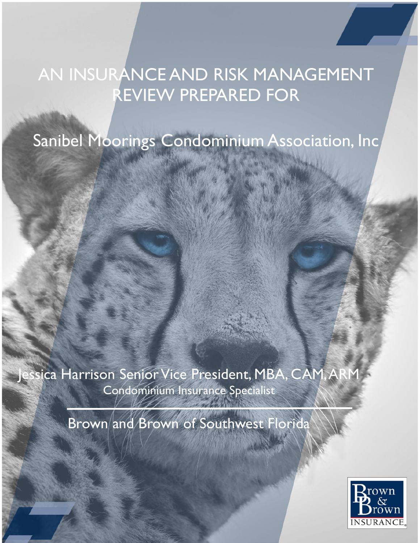# AN INSURANCE AND RISK MANAGEMENT REVIEW PREPARED FOR

Sanibel Moorings Condominium Association, Inc

ssica Harrison Senior Vice President, MBA, CAM, ARM Condominium Insurance Specialist

Brown and Brown of Southwest Florida

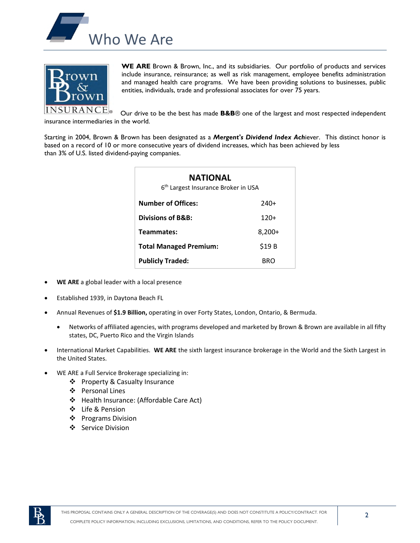



**WE ARE** Brown & Brown, Inc., and its subsidiaries. Our portfolio of products and services include insurance, reinsurance; as well as risk management, employee benefits administration and managed health care programs. We have been providing solutions to businesses, public entities, individuals, trade and professional associates for over 75 years.

Our drive to be the best has made **B&B**® one of the largest and most respected independent insurance intermediaries in the world.

Starting in 2004, Brown & Brown has been designated as a *Mergent's Dividend Index Ach*iever. This distinct honor is based on a record of 10 or more consecutive years of dividend increases, which has been achieved by less than 3% of U.S. listed dividend-paying companies.

| NATIONAL<br>6 <sup>th</sup> Largest Insurance Broker in USA |          |  |
|-------------------------------------------------------------|----------|--|
| <b>Number of Offices:</b>                                   | 240+     |  |
| Divisions of B&B:<br>$120+$                                 |          |  |
| Teammates:                                                  | $8,200+$ |  |
| <b>Total Managed Premium:</b>                               | \$19 B   |  |
| <b>Publicly Traded:</b>                                     | BRO      |  |

- **WE ARE** a global leader with a local presence
- Established 1939, in Daytona Beach FL
- Annual Revenues of **\$1.9 Billion,** operating in over Forty States, London, Ontario, & Bermuda.
	- Networks of affiliated agencies, with programs developed and marketed by Brown & Brown are available in all fifty states, DC, Puerto Rico and the Virgin Islands
- International Market Capabilities. **WE ARE** the sixth largest insurance brokerage in the World and the Sixth Largest in the United States.
- WE ARE a Full Service Brokerage specializing in:
	- ❖ Property & Casualty Insurance
	- Personal Lines
	- ❖ Health Insurance: (Affordable Care Act)
	- Life & Pension
	- ❖ Programs Division
	- ❖ Service Division

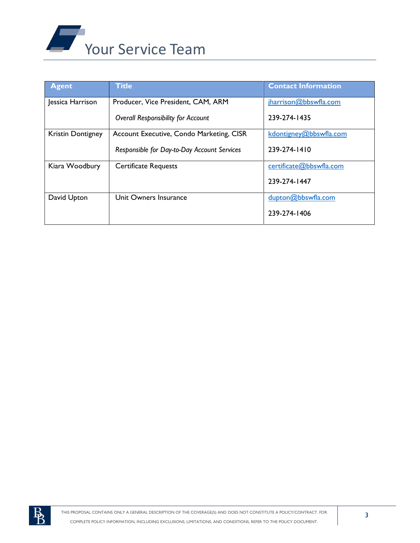

| <b>Agent</b>             | <b>Title</b>                                | <b>Contact Information</b> |
|--------------------------|---------------------------------------------|----------------------------|
| Jessica Harrison         | Producer, Vice President, CAM, ARM          | jharrison@bbswfla.com      |
|                          | <b>Overall Responsibility for Account</b>   | 239-274-1435               |
| <b>Kristin Dontigney</b> | Account Executive, Condo Marketing, CISR    | kdontigney@bbswfla.com     |
|                          | Responsible for Day-to-Day Account Services | 239-274-1410               |
| Kiara Woodbury           | <b>Certificate Requests</b>                 | certificate@bbswfla.com    |
|                          |                                             | 239-274-1447               |
| David Upton              | Unit Owners Insurance                       | dupton@bbswfla.com         |
|                          |                                             | 239-274-1406               |

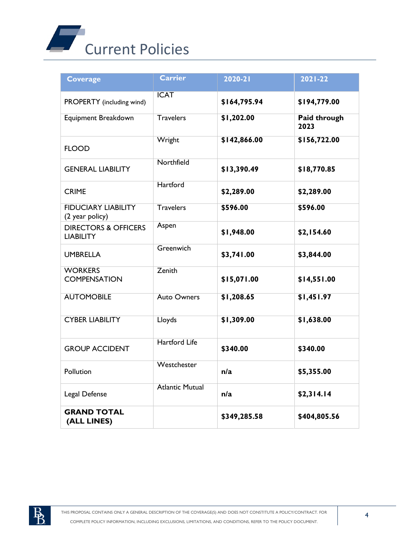

| <b>Coverage</b>                                     | <b>Carrier</b>         | $2020 - 21$  | $2021 - 22$          |
|-----------------------------------------------------|------------------------|--------------|----------------------|
| PROPERTY (including wind)                           | <b>ICAT</b>            | \$164,795.94 | \$194,779.00         |
| Equipment Breakdown                                 | <b>Travelers</b>       | \$1,202.00   | Paid through<br>2023 |
| <b>FLOOD</b>                                        | Wright                 | \$142,866.00 | \$156,722.00         |
| <b>GENERAL LIABILITY</b>                            | Northfield             | \$13,390.49  | \$18,770.85          |
| <b>CRIME</b>                                        | Hartford               | \$2,289.00   | \$2,289.00           |
| <b>FIDUCIARY LIABILITY</b><br>(2 year policy)       | <b>Travelers</b>       | \$596.00     | \$596.00             |
| <b>DIRECTORS &amp; OFFICERS</b><br><b>LIABILITY</b> | Aspen                  | \$1,948.00   | \$2,154.60           |
| <b>UMBRELLA</b>                                     | Greenwich              | \$3,741.00   | \$3,844.00           |
| <b>WORKERS</b><br><b>COMPENSATION</b>               | Zenith                 | \$15,071.00  | \$14,551.00          |
| <b>AUTOMOBILE</b>                                   | <b>Auto Owners</b>     | \$1,208.65   | \$1,451.97           |
| <b>CYBER LIABILITY</b>                              | Lloyds                 | \$1,309.00   | \$1,638.00           |
| <b>GROUP ACCIDENT</b>                               | <b>Hartford Life</b>   | \$340.00     | \$340.00             |
| Pollution                                           | Westchester            | n/a          | \$5,355.00           |
| Legal Defense                                       | <b>Atlantic Mutual</b> | n/a          | \$2,314.14           |
| <b>GRAND TOTAL</b><br>(ALL LINES)                   |                        | \$349,285.58 | \$404,805.56         |

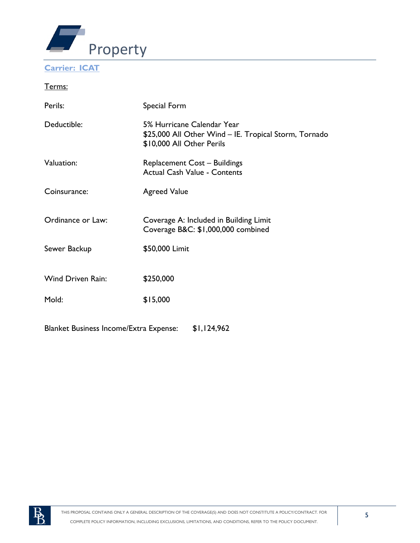

## **Carrier: ICAT**

Terms:

| Perils:                                       | Special Form                                                                                                     |  |
|-----------------------------------------------|------------------------------------------------------------------------------------------------------------------|--|
| Deductible:                                   | 5% Hurricane Calendar Year<br>\$25,000 All Other Wind - IE. Tropical Storm, Tornado<br>\$10,000 All Other Perils |  |
| Valuation:                                    | <b>Replacement Cost - Buildings</b><br><b>Actual Cash Value - Contents</b>                                       |  |
| Coinsurance:                                  | <b>Agreed Value</b>                                                                                              |  |
| Ordinance or Law:                             | Coverage A: Included in Building Limit<br>Coverage B&C: \$1,000,000 combined                                     |  |
| Sewer Backup                                  | \$50,000 Limit                                                                                                   |  |
| <b>Wind Driven Rain:</b>                      | \$250,000                                                                                                        |  |
| Mold:                                         | \$15,000                                                                                                         |  |
| <b>Blanket Business Income/Extra Expense:</b> | \$1,124,962                                                                                                      |  |

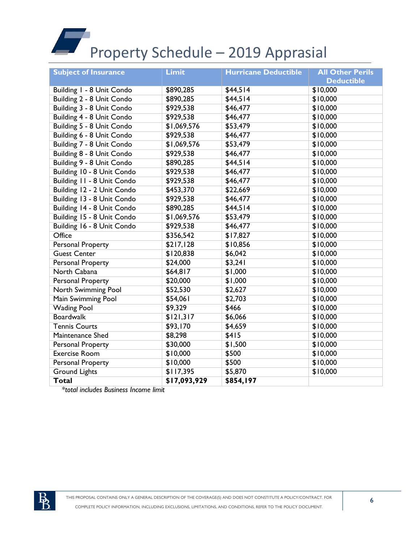# Property Schedule – 2019 Apprasial

| <b>Subject of Insurance</b> | <b>Limit</b> | <b>Hurricane Deductible</b> | <b>All Other Perils</b> |
|-----------------------------|--------------|-----------------------------|-------------------------|
|                             |              |                             | <b>Deductible</b>       |
| Building I - 8 Unit Condo   | \$890,285    | \$44,514                    | \$10,000                |
| Building 2 - 8 Unit Condo   | \$890,285    | \$44,514                    | \$10,000                |
| Building 3 - 8 Unit Condo   | \$929,538    | \$46,477                    | \$10,000                |
| Building 4 - 8 Unit Condo   | \$929,538    | \$46,477                    | \$10,000                |
| Building 5 - 8 Unit Condo   | \$1,069,576  | \$53,479                    | \$10,000                |
| Building 6 - 8 Unit Condo   | \$929,538    | \$46,477                    | \$10,000                |
| Building 7 - 8 Unit Condo   | \$1,069,576  | \$53,479                    | \$10,000                |
| Building 8 - 8 Unit Condo   | \$929,538    | \$46,477                    | \$10,000                |
| Building 9 - 8 Unit Condo   | \$890,285    | \$44,514                    | \$10,000                |
| Building 10 - 8 Unit Condo  | \$929,538    | \$46,477                    | \$10,000                |
| Building 11 - 8 Unit Condo  | \$929,538    | \$46,477                    | \$10,000                |
| Building 12 - 2 Unit Condo  | \$453,370    | \$22,669                    | \$10,000                |
| Building 13 - 8 Unit Condo  | \$929,538    | \$46,477                    | \$10,000                |
| Building 14 - 8 Unit Condo  | \$890,285    | \$44,514                    | \$10,000                |
| Building 15 - 8 Unit Condo  | \$1,069,576  | \$53,479                    | \$10,000                |
| Building 16 - 8 Unit Condo  | \$929,538    | \$46,477                    | \$10,000                |
| Office                      | \$356,542    | \$17,827                    | \$10,000                |
| <b>Personal Property</b>    | \$217,128    | \$10,856                    | \$10,000                |
| <b>Guest Center</b>         | \$120,838    | \$6,042                     | \$10,000                |
| <b>Personal Property</b>    | \$24,000     | \$3,241                     | \$10,000                |
| North Cabana                | \$64,817     | \$1,000                     | \$10,000                |
| <b>Personal Property</b>    | \$20,000     | \$1,000                     | \$10,000                |
| North Swimming Pool         | \$52,530     | \$2,627                     | \$10,000                |
| Main Swimming Pool          | \$54,061     | \$2,703                     | \$10,000                |
| <b>Wading Pool</b>          | \$9,329      | \$466                       | \$10,000                |
| <b>Boardwalk</b>            | \$121,317    | \$6,066                     | \$10,000                |
| <b>Tennis Courts</b>        | \$93,170     | \$4,659                     | \$10,000                |
| Maintenance Shed            | \$8,298      | \$415                       | \$10,000                |
| <b>Personal Property</b>    | \$30,000     | \$1,500                     | \$10,000                |
| <b>Exercise Room</b>        | \$10,000     | \$500                       | \$10,000                |
| <b>Personal Property</b>    | \$10,000     | \$500                       | \$10,000                |
| <b>Ground Lights</b>        | \$117,395    | \$5,870                     | \$10,000                |
| <b>Total</b>                | \$17,093,929 | \$854,197                   |                         |

*\*total includes Business Income limit*

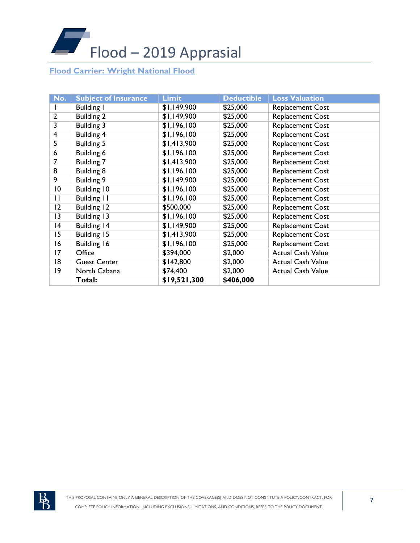

# **Flood Carrier: Wright National Flood**

| No.             | <b>Subject of Insurance</b> | <b>Limit</b> | <b>Deductible</b> | <b>Loss Valuation</b>    |
|-----------------|-----------------------------|--------------|-------------------|--------------------------|
|                 | <b>Building I</b>           | \$1,149,900  | \$25,000          | <b>Replacement Cost</b>  |
| $\overline{2}$  | <b>Building 2</b>           | \$1,149,900  | \$25,000          | <b>Replacement Cost</b>  |
| $\overline{3}$  | <b>Building 3</b>           | \$1,196,100  | \$25,000          | Replacement Cost         |
| $\overline{4}$  | <b>Building 4</b>           | \$1,196,100  | \$25,000          | <b>Replacement Cost</b>  |
| 5               | <b>Building 5</b>           | \$1,413,900  | \$25,000          | Replacement Cost         |
| 6               | Building 6                  | \$1,196,100  | \$25,000          | <b>Replacement Cost</b>  |
| 7               | <b>Building 7</b>           | \$1,413,900  | \$25,000          | <b>Replacement Cost</b>  |
| $\overline{8}$  | <b>Building 8</b>           | \$1,196,100  | \$25,000          | <b>Replacement Cost</b>  |
| 9               | <b>Building 9</b>           | \$1,149,900  | \$25,000          | Replacement Cost         |
| $\overline{10}$ | Building 10                 | \$1,196,100  | \$25,000          | <b>Replacement Cost</b>  |
| П               | <b>Building 11</b>          | \$1,196,100  | \$25,000          | <b>Replacement Cost</b>  |
| 12              | Building 12                 | \$500,000    | \$25,000          | <b>Replacement Cost</b>  |
| 3               | Building 13                 | \$1,196,100  | \$25,000          | <b>Replacement Cost</b>  |
| 14              | <b>Building 14</b>          | \$1,149,900  | \$25,000          | Replacement Cost         |
| 15              | Building 15                 | \$1,413,900  | \$25,000          | Replacement Cost         |
| 16              | Building 16                 | \$1,196,100  | \$25,000          | <b>Replacement Cost</b>  |
| 17              | Office                      | \$394,000    | \$2,000           | <b>Actual Cash Value</b> |
| 18              | <b>Guest Center</b>         | \$142,800    | \$2,000           | <b>Actual Cash Value</b> |
| 19              | North Cabana                | \$74,400     | \$2,000           | <b>Actual Cash Value</b> |
|                 | Total:                      | \$19,521,300 | \$406,000         |                          |

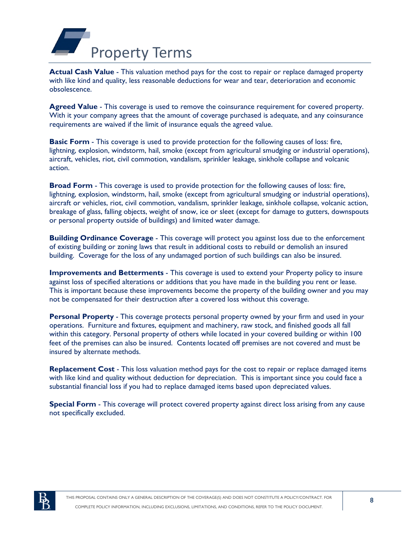

Actual Cash Value - This valuation method pays for the cost to repair or replace damaged property with like kind and quality, less reasonable deductions for wear and tear, deterioration and economic obsolescence.

**Agreed Value** - This coverage is used to remove the coinsurance requirement for covered property. With it your company agrees that the amount of coverage purchased is adequate, and any coinsurance requirements are waived if the limit of insurance equals the agreed value.

**Basic Form** - This coverage is used to provide protection for the following causes of loss: fire, lightning, explosion, windstorm, hail, smoke (except from agricultural smudging or industrial operations), aircraft, vehicles, riot, civil commotion, vandalism, sprinkler leakage, sinkhole collapse and volcanic action.

**Broad Form** - This coverage is used to provide protection for the following causes of loss: fire, lightning, explosion, windstorm, hail, smoke (except from agricultural smudging or industrial operations), aircraft or vehicles, riot, civil commotion, vandalism, sprinkler leakage, sinkhole collapse, volcanic action, breakage of glass, falling objects, weight of snow, ice or sleet (except for damage to gutters, downspouts or personal property outside of buildings) and limited water damage.

**Building Ordinance Coverage** - This coverage will protect you against loss due to the enforcement of existing building or zoning laws that result in additional costs to rebuild or demolish an insured building. Coverage for the loss of any undamaged portion of such buildings can also be insured.

**Improvements and Betterments** - This coverage is used to extend your Property policy to insure against loss of specified alterations or additions that you have made in the building you rent or lease. This is important because these improvements become the property of the building owner and you may not be compensated for their destruction after a covered loss without this coverage.

**Personal Property** - This coverage protects personal property owned by your firm and used in your operations. Furniture and fixtures, equipment and machinery, raw stock, and finished goods all fall within this category. Personal property of others while located in your covered building or within 100 feet of the premises can also be insured. Contents located off premises are not covered and must be insured by alternate methods.

**Replacement Cost** - This loss valuation method pays for the cost to repair or replace damaged items with like kind and quality without deduction for depreciation. This is important since you could face a substantial financial loss if you had to replace damaged items based upon depreciated values.

**Special Form** - This coverage will protect covered property against direct loss arising from any cause not specifically excluded.

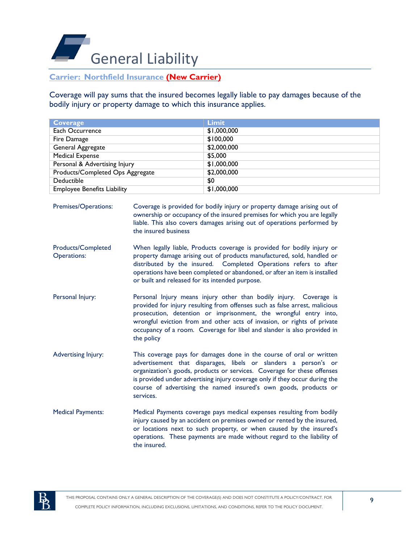

## **Carrier: Northfield Insurance (New Carrier)**

Coverage will pay sums that the insured becomes legally liable to pay damages because of the bodily injury or property damage to which this insurance applies.

| <b>Coverage</b>                    | <b>Limit</b> |
|------------------------------------|--------------|
| Each Occurrence                    | \$1,000,000  |
| Fire Damage                        | \$100,000    |
| General Aggregate                  | \$2,000,000  |
| <b>Medical Expense</b>             | \$5,000      |
| Personal & Advertising Injury      | \$1,000,000  |
| Products/Completed Ops Aggregate   | \$2,000,000  |
| Deductible                         | \$0          |
| <b>Employee Benefits Liability</b> | \$1,000,000  |

Premises/Operations: Coverage is provided for bodily injury or property damage arising out of ownership or occupancy of the insured premises for which you are legally liable. This also covers damages arising out of operations performed by the insured business

- Products/Completed Operations: When legally liable, Products coverage is provided for bodily injury or property damage arising out of products manufactured, sold, handled or distributed by the insured. Completed Operations refers to after operations have been completed or abandoned, or after an item is installed or built and released for its intended purpose.
- Personal Injury: Personal Injury means injury other than bodily injury. Coverage is provided for injury resulting from offenses such as false arrest, malicious prosecution, detention or imprisonment, the wrongful entry into, wrongful eviction from and other acts of invasion, or rights of private occupancy of a room. Coverage for libel and slander is also provided in the policy
- Advertising Injury: This coverage pays for damages done in the course of oral or written advertisement that disparages, libels or slanders a person's or organization's goods, products or services. Coverage for these offenses is provided under advertising injury coverage only if they occur during the course of advertising the named insured's own goods, products or services.
- Medical Payments: Medical Payments coverage pays medical expenses resulting from bodily injury caused by an accident on premises owned or rented by the insured, or locations next to such property, or when caused by the insured's operations. These payments are made without regard to the liability of the insured.

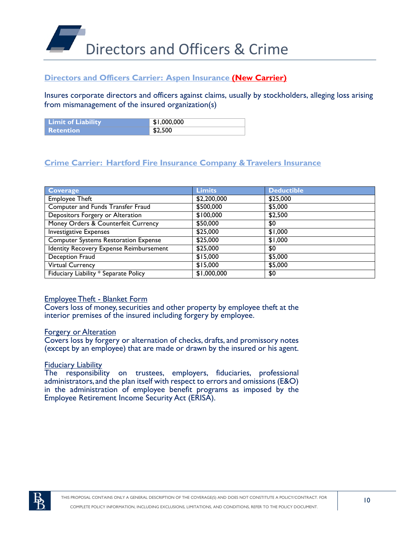

# **Directors and Officers Carrier: Aspen Insurance (New Carrier)**

Insures corporate directors and officers against claims, usually by stockholders, alleging loss arising from mismanagement of the insured organization(s)

| <b>Limit of Liability</b> | \$1,000,000 |
|---------------------------|-------------|
| <b>Retention</b>          | \$2,500     |

# **Crime Carrier: Hartford Fire Insurance Company & Travelers Insurance**

| <b>Coverage</b>                             | <b>Limits</b> | <b>Deductible</b> |
|---------------------------------------------|---------------|-------------------|
| <b>Employee Theft</b>                       | \$2,200,000   | \$25,000          |
| Computer and Funds Transfer Fraud           | \$500,000     | \$5,000           |
| Depositors Forgery or Alteration            | \$100,000     | \$2,500           |
| Money Orders & Counterfeit Currency         | \$50,000      | \$0               |
| <b>Investigative Expenses</b>               | \$25,000      | \$1,000           |
| <b>Computer Systems Restoration Expense</b> | \$25,000      | \$1,000           |
| Identity Recovery Expense Reimbursement     | \$25,000      | \$0               |
| Deception Fraud                             | \$15,000      | \$5,000           |
| <b>Virtual Currency</b>                     | \$15,000      | \$5,000           |
| Fiduciary Liability * Separate Policy       | \$1,000,000   | \$0               |

#### Employee Theft - Blanket Form

Covers loss of money, securities and other property by employee theft at the interior premises of the insured including forgery by employee.

#### Forgery or Alteration

Covers loss by forgery or alternation of checks, drafts, and promissory notes (except by an employee) that are made or drawn by the insured or his agent.

#### **Fiduciary Liability**

The responsibility on trustees, employers, fiduciaries, professional administrators,and the plan itself with respect to errors and omissions (E&O) in the administration of employee benefit programs as imposed by the Employee Retirement Income Security Act (ERISA).

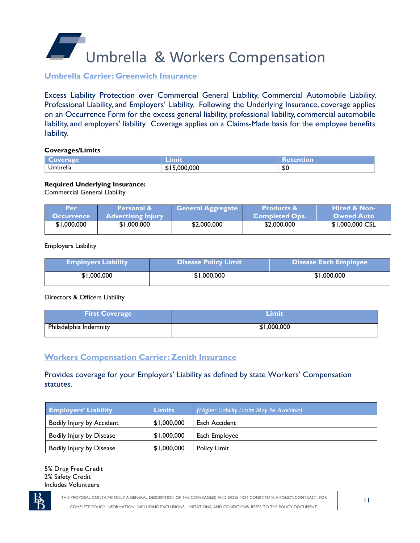Umbrella & Workers Compensation

**Umbrella Carrier: Greenwich Insurance**

Excess Liability Protection over Commercial General Liability, Commercial Automobile Liability, Professional Liability, and Employers' Liability. Following the Underlying Insurance, coverage applies on an Occurrence Form for the excess general liability, professional liability, commercial automobile liability, and employers' liability. Coverage applies on a Claims-Made basis for the employee benefits liability.

#### **Coverages/Limits**

| overage  | umi              | letention |
|----------|------------------|-----------|
| Jmbrella | ,000,000<br>ו מ. | \$0       |

#### **Required Underlying Insurance:**

Commercial General Liability

| Per               | <b>NPersonal &amp;</b>    | <b>General Aggregate</b> | <b>Products &amp;</b> | <b>Hired &amp; Non-</b> |
|-------------------|---------------------------|--------------------------|-----------------------|-------------------------|
| <b>Occurrence</b> | <b>Advertising Injury</b> |                          | <b>Completed Ops.</b> | <b>Owned Auto</b>       |
| \$1,000,000       | \$1,000,000               | \$2,000,000              | \$2,000,000           | \$1,000,000 CSL         |
|                   |                           |                          |                       |                         |

Employers Liability

| <b>Employers Liability</b> | <b>Disease Policy Limit</b> | Disease Each Employee |
|----------------------------|-----------------------------|-----------------------|
| \$1,000,000                | \$1,000,000                 | \$1,000,000           |

Directors & Officers Liability

| <b>First Coverage</b>  | <b>\Limi</b> t |
|------------------------|----------------|
| Philadelphia Indemnity | \$1,000,000    |

# **Workers Compensation Carrier: Zenith Insurance**

Provides coverage for your Employers' Liability as defined by state Workers' Compensation statutes.

| <b>Employers' Liability</b>     | <b>Limits</b> | (Higher Liability Limits May Be Available) |
|---------------------------------|---------------|--------------------------------------------|
| Bodily Injury by Accident       | \$1,000,000   | Each Accident                              |
| <b>Bodily Injury by Disease</b> | \$1,000,000   | Each Employee                              |
| <b>Bodily Injury by Disease</b> | \$1,000,000   | <b>Policy Limit</b>                        |

5% Drug Free Credit 2% Safety Credit Includes Volunteers

THIS PROPOSAL CONTAINS ONLY A GENERAL DESCRIPTION OF THE COVERAGE(S) AND DOES NOT CONSTITUTE A POLICY/CONTRACT. FOR

COMPLETE POLICY INFORMATION, INCLUDING EXCLUSIONS, LIMITATIONS, AND CONDITIONS, REFER TO THE POLICY DOCUMENT.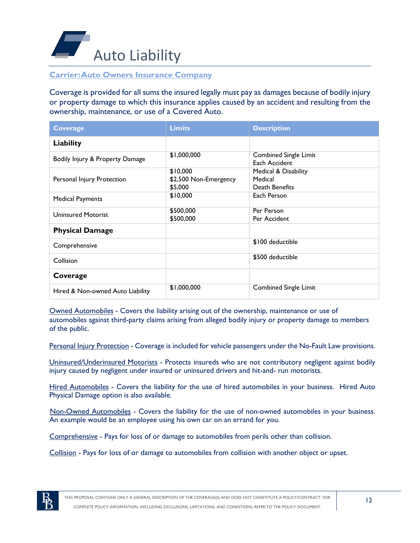

# **Carrier: Auto Owners Insurance Company**

Coverage is provided for all sums the insured legally must pay as damages because of bodily injury or property damage to which this insurance applies caused by an accident and resulting from the ownership, maintenance, or use of a Covered Auto.

| <b>Coverage</b>                  | <b>Limits</b>                                | <b>Description</b>                                |
|----------------------------------|----------------------------------------------|---------------------------------------------------|
| Liability                        |                                              |                                                   |
| Bodily Injury & Property Damage  | \$1,000,000                                  | <b>Combined Single Limit</b><br>Each Accident     |
| Personal Injury Protection       | \$10,000<br>\$2,500 Non-Emergency<br>\$5,000 | Medical & Disability<br>Medical<br>Death Benefits |
| <b>Medical Payments</b>          | \$10,000                                     | Each Person                                       |
| <b>Uninsured Motorist</b>        | \$500,000<br>\$500,000                       | Per Person<br>Per Accident                        |
| <b>Physical Damage</b>           |                                              |                                                   |
| Comprehensive                    |                                              | \$100 deductible                                  |
| Collision                        |                                              | \$500 deductible                                  |
| Coverage                         |                                              |                                                   |
| Hired & Non-owned Auto Liability | \$1,000,000                                  | <b>Combined Single Limit</b>                      |

Owned Automobiles - Covers the liability arising out of the ownership, maintenance or use of automobiles against third-party claims arising from alleged bodily injury or property damage to members of the public.

Personal Injury Protection - Coverage is included for vehicle passengers under the No-Fault Law provisions.

Uninsured/Underinsured Motorists - Protects insureds who are not contributory negligent against bodily injury caused by negligent under insured or uninsured drivers and hit-and- run motorists.

Hired Automobiles - Covers the liability for the use of hired automobiles in your business. Hired Auto Physical Damage option is also available.

Non-Owned Automobiles - Covers the liability for the use of non-owned automobiles in your business. An example would be an employee using his own car on an errand for you.

Comprehensive - Pays for loss of or damage to automobiles from perils other than collision.

Collision - Pays for loss of or damage to automobiles from collision with another object or upset.

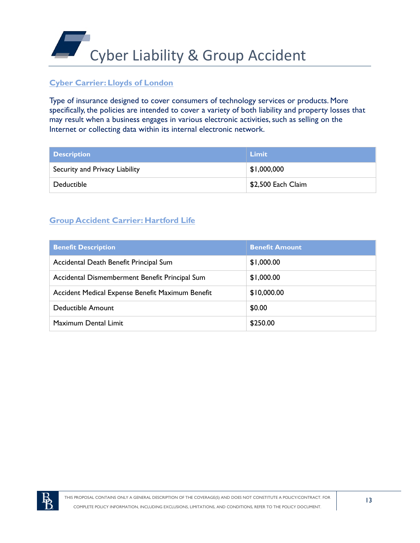

# **Cyber Carrier: Lloyds of London**

Type of insurance designed to cover consumers of technology services or products. More specifically, the policies are intended to cover a variety of both liability and property losses that may result when a business engages in various electronic activities, such as selling on the Internet or collecting data within its internal electronic network.

| Description                    | Limit              |
|--------------------------------|--------------------|
| Security and Privacy Liability | \$1,000,000        |
| Deductible                     | \$2,500 Each Claim |

# **Group Accident Carrier: Hartford Life**

| <b>Benefit Description</b>                       | <b>Benefit Amount</b> |
|--------------------------------------------------|-----------------------|
| Accidental Death Benefit Principal Sum           | \$1,000.00            |
| Accidental Dismemberment Benefit Principal Sum   | \$1,000.00            |
| Accident Medical Expense Benefit Maximum Benefit | \$10,000.00           |
| <b>Deductible Amount</b>                         | \$0.00                |
| Maximum Dental Limit                             | \$250.00              |